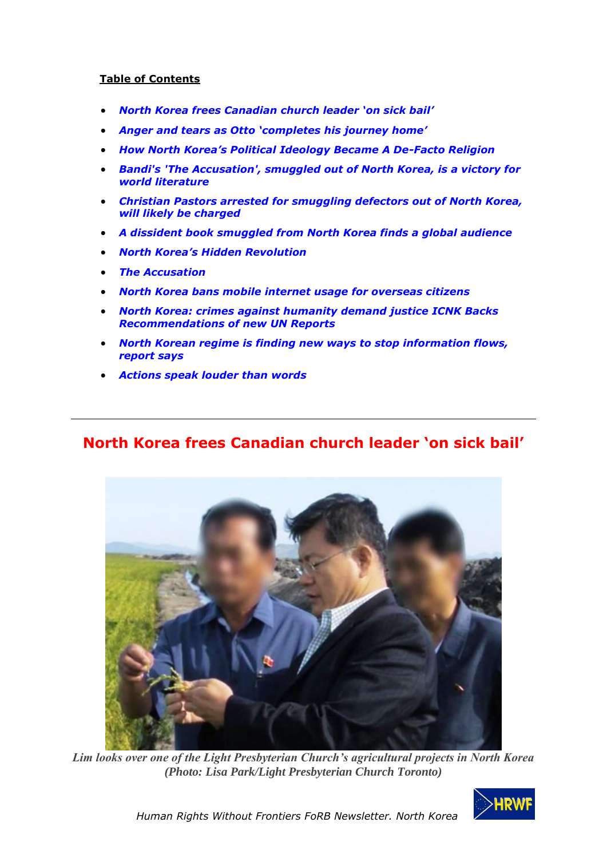### **Table of Contents**

- *[North Korea frees Canadian church leader 'on sick bail'](#page-0-0)*
- *[Anger and tears as Otto 'completes his journey home'](#page-3-0)*
- *[How North Korea's Political Ideology Became A De](#page-4-0)-Facto Religion*
- *[Bandi's 'The Accusation', smuggled out of North Korea, is a victory for](#page-7-0)  [world literature](#page-7-0)*
- *[Christian Pastors arrested for smuggling defectors out of North Korea,](#page-9-0)  [will likely be charged](#page-9-0)*
- *[A dissident book smuggled from North Korea finds a global audience](#page-10-0)*
- *[North Korea's Hidden Revolution](#page-12-0)*
- *[The Accusation](#page-13-0)*
- *[North Korea bans mobile internet usage for overseas citizens](#page-14-0)*
- *[North Korea: crimes against humanity demand justice ICNK Backs](#page-15-0)  [Recommendations of new UN Reports](#page-15-0)*
- *[North Korean regime is finding new ways to stop information flows,](#page-17-0)  [report says](#page-17-0)*
- *[Actions speak louder than words](#page-19-0)*

## <span id="page-0-0"></span>**North Korea frees Canadian church leader 'on sick bail'**



*Lim looks over one of the Light Presbyterian Church's agricultural projects in North Korea (Photo: Lisa Park/Light Presbyterian Church Toronto)*

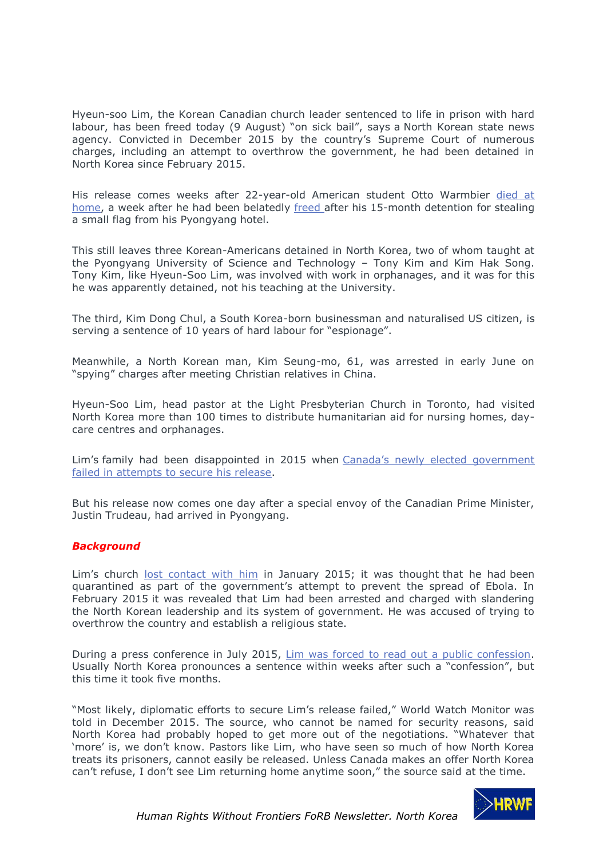Hyeun-soo Lim, the Korean Canadian church leader sentenced to life in prison with hard labour, has been freed today (9 August) "on sick bail", says a North Korean state news agency. Convicted in December 2015 by the country's Supreme Court of numerous charges, including an attempt to overthrow the government, he had been detained in North Korea since February 2015.

His release comes weeks after 22-year-old American student Otto Warmbier died at [home,](https://www.worldwatchmonitor.org/2017/06/anger-tears-otto-completes-journey-home/) a week after he had been belatedly [freed a](https://www.worldwatchmonitor.org/coe/north-korea-frees-us-student-otto-warmbier-coma/)fter his 15-month detention for stealing a small flag from his Pyongyang hotel.

This still leaves three Korean-Americans detained in North Korea, two of whom taught at the Pyongyang University of Science and Technology – Tony Kim and Kim Hak Song. Tony Kim, like Hyeun-Soo Lim, was involved with work in orphanages, and it was for this he was apparently detained, not his teaching at the University.

The third, Kim Dong Chul, a South Korea-born businessman and naturalised US citizen, is serving a sentence of 10 years of hard labour for "espionage".

Meanwhile, a North Korean man, Kim Seung-mo, 61, was arrested in early June on "spying" charges after meeting Christian relatives in China.

Hyeun-Soo Lim, head pastor at the Light Presbyterian Church in Toronto, had visited North Korea more than 100 times to distribute humanitarian aid for nursing homes, daycare centres and orphanages.

Lim's family had been disappointed in 2015 when [Canada's newly elected government](http://edition.cnn.com/2015/11/12/world/hyeon-soo-lim-canadian-north-korea/index.html)  [failed in attempts to secure his release.](http://edition.cnn.com/2015/11/12/world/hyeon-soo-lim-canadian-north-korea/index.html)

But his release now comes one day after a special envoy of the Canadian Prime Minister, Justin Trudeau, had arrived in Pyongyang.

#### *Background*

Lim's church [lost contact with him](https://www.worldwatchmonitor.org/coe/3570464/3726541/PastorNotHeardFromNorthKorea) in January 2015; it was thought that he had been quarantined as part of the government's attempt to prevent the spread of Ebola. In February 2015 it was revealed that Lim had been arrested and charged with slandering the North Korean leadership and its system of government. He was accused of trying to overthrow the country and establish a religious state.

During a press conference in July 2015, [Lim was forced to read out a public confession.](https://www.worldwatchmonitor.org/coe/3570464/3945703/3956584) Usually North Korea pronounces a sentence within weeks after such a "confession", but this time it took five months.

"Most likely, diplomatic efforts to secure Lim's release failed," World Watch Monitor was told in December 2015. The source, who cannot be named for security reasons, said North Korea had probably hoped to get more out of the negotiations. "Whatever that 'more' is, we don't know. Pastors like Lim, who have seen so much of how North Korea treats its prisoners, cannot easily be released. Unless Canada makes an offer North Korea can't refuse, I don't see Lim returning home anytime soon," the source said at the time.



*Human Rights Without Frontiers FoRB Newsletter. North Korea*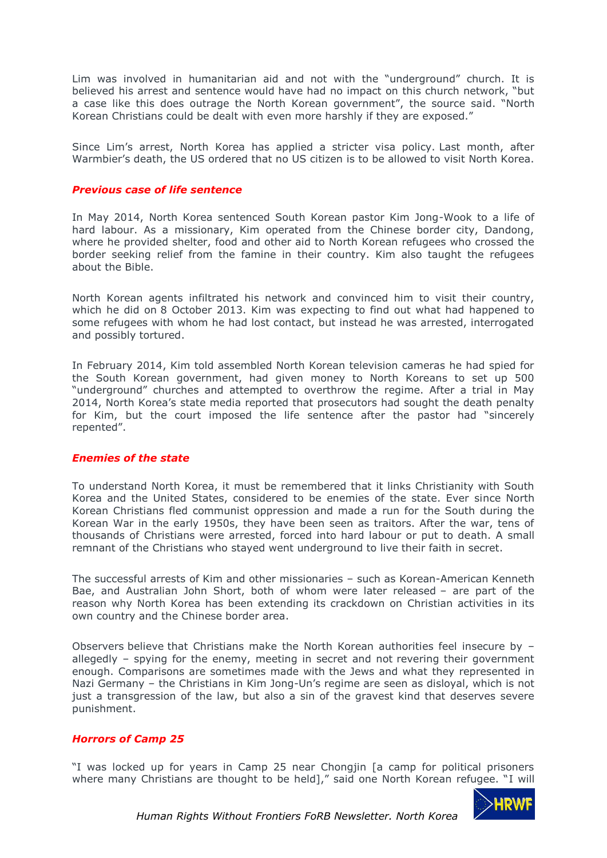Lim was involved in humanitarian aid and not with the "underground" church. It is believed his arrest and sentence would have had no impact on this church network, "but a case like this does outrage the North Korean government", the source said. "North Korean Christians could be dealt with even more harshly if they are exposed."

Since Lim's arrest, North Korea has applied a stricter visa policy. Last month, after Warmbier's death, the US ordered that no US citizen is to be allowed to visit North Korea.

#### *Previous case of life sentence*

In May 2014, North Korea sentenced South Korean pastor Kim Jong-Wook to a life of hard labour. As a missionary, Kim operated from the Chinese border city, Dandong, where he provided shelter, food and other aid to North Korean refugees who crossed the border seeking relief from the famine in their country. Kim also taught the refugees about the Bible.

North Korean agents infiltrated his network and convinced him to visit their country, which he did on 8 October 2013. Kim was expecting to find out what had happened to some refugees with whom he had lost contact, but instead he was arrested, interrogated and possibly tortured.

In February 2014, Kim told assembled North Korean television cameras he had spied for the South Korean government, had given money to North Koreans to set up 500 "underground" churches and attempted to overthrow the regime. After a trial in May 2014, North Korea's state media reported that prosecutors had sought the death penalty for Kim, but the court imposed the life sentence after the pastor had "sincerely repented".

#### *Enemies of the state*

To understand North Korea, it must be remembered that it links Christianity with South Korea and the United States, considered to be enemies of the state. Ever since North Korean Christians fled communist oppression and made a run for the South during the Korean War in the early 1950s, they have been seen as traitors. After the war, tens of thousands of Christians were arrested, forced into hard labour or put to death. A small remnant of the Christians who stayed went underground to live their faith in secret.

The successful arrests of Kim and other missionaries – such as Korean-American Kenneth Bae, and Australian John Short, both of whom were later released – are part of the reason why North Korea has been extending its crackdown on Christian activities in its own country and the Chinese border area.

Observers believe that Christians make the North Korean authorities feel insecure by – allegedly – spying for the enemy, meeting in secret and not revering their government enough. Comparisons are sometimes made with the Jews and what they represented in Nazi Germany – the Christians in Kim Jong-Un's regime are seen as disloyal, which is not just a transgression of the law, but also a sin of the gravest kind that deserves severe punishment.

#### *Horrors of Camp 25*

"I was locked up for years in Camp 25 near Chongjin [a camp for political prisoners where many Christians are thought to be held]," said one North Korean refugee. "I will

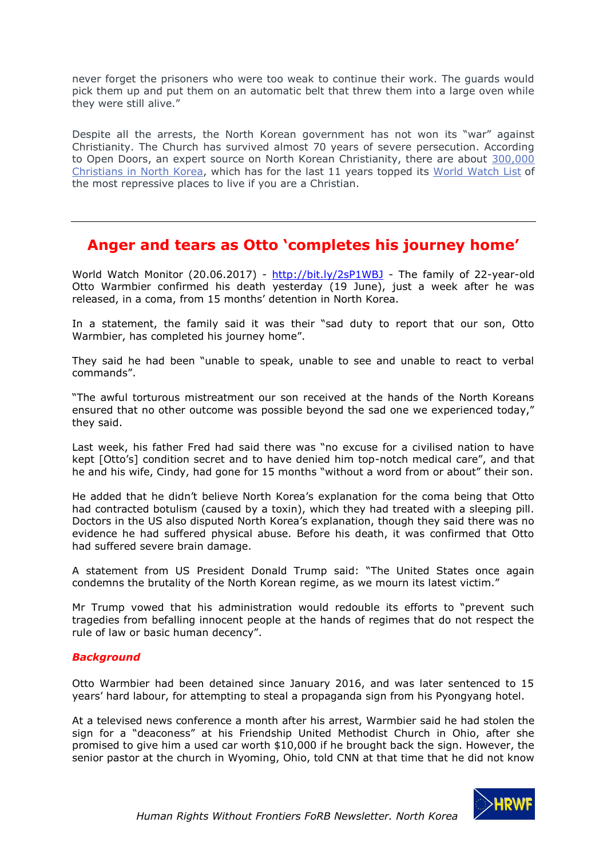never forget the prisoners who were too weak to continue their work. The guards would pick them up and put them on an automatic belt that threw them into a large oven while they were still alive."

Despite all the arrests, the North Korean government has not won its "war" against Christianity. The Church has survived almost 70 years of severe persecution. According to Open Doors, an expert source on North Korean Christianity, there are about [300,000](https://www.opendoorsusa.org/christian-persecution/world-watch-list/north-korea/)  [Christians in North Korea,](https://www.opendoorsusa.org/christian-persecution/world-watch-list/north-korea/) which has for the last 11 years topped its [World Watch List](https://www.worldwatchmonitor.org/what-is-the-world-watch-list/) of the most repressive places to live if you are a Christian.

## <span id="page-3-0"></span>**Anger and tears as Otto 'completes his journey home'**

World Watch Monitor (20.06.2017) - <http://bit.ly/2sP1WBJ> - The family of 22-year-old Otto Warmbier confirmed his death yesterday (19 June), just a week after he was released, in a coma, from 15 months' detention in North Korea.

In a statement, the family said it was their "sad duty to report that our son, Otto Warmbier, has completed his journey home".

They said he had been "unable to speak, unable to see and unable to react to verbal commands".

"The awful torturous mistreatment our son received at the hands of the North Koreans ensured that no other outcome was possible beyond the sad one we experienced today," they said.

Last week, his father Fred had said there was "no excuse for a civilised nation to have kept [Otto's] condition secret and to have denied him top-notch medical care", and that he and his wife, Cindy, had gone for 15 months "without a word from or about" their son.

He added that he didn't believe North Korea's explanation for the coma being that Otto had contracted botulism (caused by a toxin), which they had treated with a sleeping pill. Doctors in the US also disputed North Korea's explanation, though they said there was no evidence he had suffered physical abuse. Before his death, it was confirmed that Otto had suffered severe brain damage.

A statement from US President Donald Trump said: "The United States once again condemns the brutality of the North Korean regime, as we mourn its latest victim."

Mr Trump vowed that his administration would redouble its efforts to "prevent such tragedies from befalling innocent people at the hands of regimes that do not respect the rule of law or basic human decency".

### *Background*

Otto Warmbier had been detained since January 2016, and was later sentenced to 15 years' hard labour, for attempting to steal a propaganda sign from his Pyongyang hotel.

At a televised news conference a month after his arrest, Warmbier said he had stolen the sign for a "deaconess" at his Friendship United Methodist Church in Ohio, after she promised to give him a used car worth \$10,000 if he brought back the sign. However, the senior pastor at the church in Wyoming, Ohio, told CNN at that time that he did not know

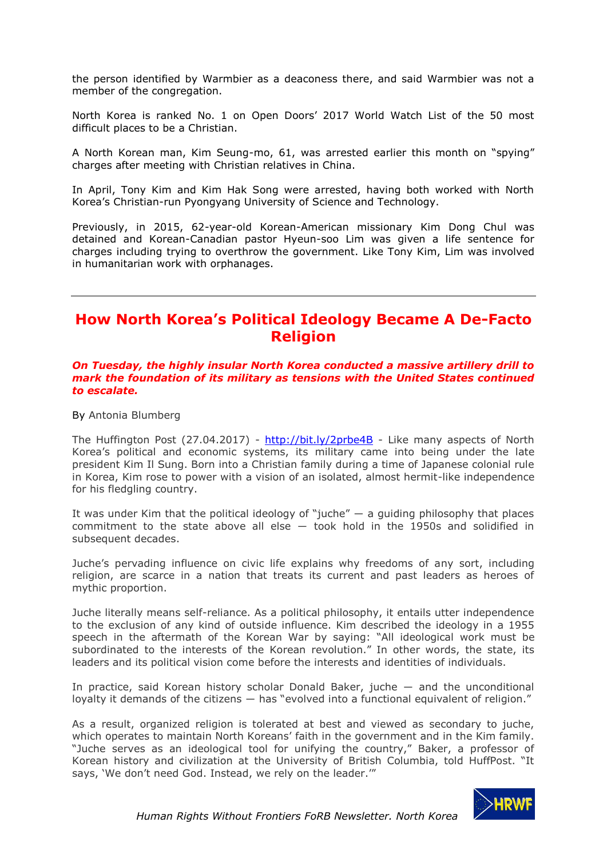the person identified by Warmbier as a deaconess there, and said Warmbier was not a member of the congregation.

North Korea is ranked No. 1 on Open Doors' 2017 World Watch List of the 50 most difficult places to be a Christian.

A North Korean man, Kim Seung-mo, 61, was arrested earlier this month on "spying" charges after meeting with Christian relatives in China.

In April, Tony Kim and Kim Hak Song were arrested, having both worked with North Korea's Christian-run Pyongyang University of Science and Technology.

Previously, in 2015, 62-year-old Korean-American missionary Kim Dong Chul was detained and Korean-Canadian pastor Hyeun-soo Lim was given a life sentence for charges including trying to overthrow the government. Like Tony Kim, Lim was involved in humanitarian work with orphanages.

### <span id="page-4-0"></span>**How North Korea's Political Ideology Became A De-Facto Religion**

#### *On Tuesday, the highly insular North Korea conducted a massive artillery drill to mark the foundation of its military as tensions with the United States continued to escalate.*

By Antonia Blumberg

The Huffington Post (27.04.2017) - <http://bit.ly/2prbe4B> - Like many aspects of North Korea's political and economic systems, its military came into being under the late president Kim Il Sung. Born into a Christian family during a time of Japanese colonial rule in Korea, Kim rose to power with a vision of an isolated, almost hermit-like independence for his fledgling country.

It was under Kim that the political ideology of "juche"  $-$  a guiding philosophy that places commitment to the state above all else  $-$  took hold in the 1950s and solidified in subsequent decades.

Juche's pervading influence on civic life explains why freedoms of any sort, including religion, are scarce in a nation that treats its current and past leaders as heroes of mythic proportion.

Juche literally means self-reliance. As a political philosophy, it entails utter independence to the exclusion of any kind of outside influence. Kim described the ideology in a 1955 speech in the aftermath of the Korean War by saying: "All ideological work must be subordinated to the interests of the Korean revolution." In other words, the state, its leaders and its political vision come before the interests and identities of individuals.

In practice, said Korean history scholar Donald Baker, juche  $-$  and the unconditional loyalty it demands of the citizens — has "evolved into a functional equivalent of religion."

As a result, organized religion is tolerated at best and viewed as secondary to juche, which operates to maintain North Koreans' faith in the government and in the Kim family. "Juche serves as an ideological tool for unifying the country," Baker, a professor of Korean history and civilization at the University of British Columbia, told HuffPost. "It says, 'We don't need God. Instead, we rely on the leader.'"

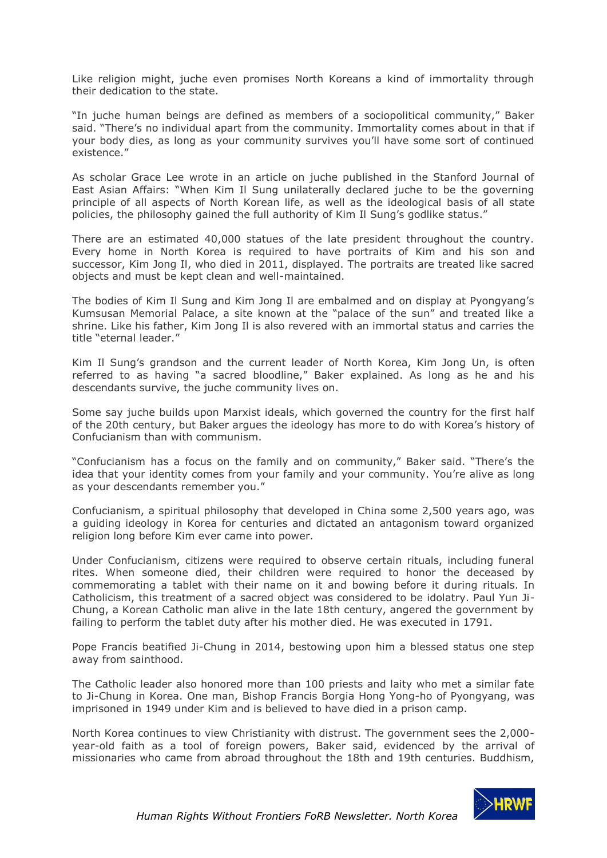Like religion might, juche even promises North Koreans a kind of immortality through their dedication to the state.

"In juche human beings are defined as members of a sociopolitical community," Baker said. "There's no individual apart from the community. Immortality comes about in that if your body dies, as long as your community survives you'll have some sort of continued existence."

As scholar Grace Lee wrote in an article on juche published in the Stanford Journal of East Asian Affairs: "When Kim Il Sung unilaterally declared juche to be the governing principle of all aspects of North Korean life, as well as the ideological basis of all state policies, the philosophy gained the full authority of Kim Il Sung's godlike status."

There are an estimated 40,000 statues of the late president throughout the country. Every home in North Korea is required to have portraits of Kim and his son and successor, Kim Jong Il, who died in 2011, displayed. The portraits are treated like sacred objects and must be kept clean and well-maintained.

The bodies of Kim Il Sung and Kim Jong Il are embalmed and on display at Pyongyang's Kumsusan Memorial Palace, a site known at the "palace of the sun" and treated like a shrine. Like his father, Kim Jong Il is also revered with an immortal status and carries the title "eternal leader."

Kim Il Sung's grandson and the current leader of North Korea, Kim Jong Un, is often referred to as having "a sacred bloodline," Baker explained. As long as he and his descendants survive, the juche community lives on.

Some say juche builds upon Marxist ideals, which governed the country for the first half of the 20th century, but Baker argues the ideology has more to do with Korea's history of Confucianism than with communism.

"Confucianism has a focus on the family and on community," Baker said. "There's the idea that your identity comes from your family and your community. You're alive as long as your descendants remember you."

Confucianism, a spiritual philosophy that developed in China some 2,500 years ago, was a guiding ideology in Korea for centuries and dictated an antagonism toward organized religion long before Kim ever came into power.

Under Confucianism, citizens were required to observe certain rituals, including funeral rites. When someone died, their children were required to honor the deceased by commemorating a tablet with their name on it and bowing before it during rituals. In Catholicism, this treatment of a sacred object was considered to be idolatry. Paul Yun Ji-Chung, a Korean Catholic man alive in the late 18th century, angered the government by failing to perform the tablet duty after his mother died. He was executed in 1791.

Pope Francis beatified Ji-Chung in 2014, bestowing upon him a blessed status one step away from sainthood.

The Catholic leader also honored more than 100 priests and laity who met a similar fate to Ji-Chung in Korea. One man, Bishop Francis Borgia Hong Yong-ho of Pyongyang, was imprisoned in 1949 under Kim and is believed to have died in a prison camp.

North Korea continues to view Christianity with distrust. The government sees the 2,000 year-old faith as a tool of foreign powers, Baker said, evidenced by the arrival of missionaries who came from abroad throughout the 18th and 19th centuries. Buddhism,

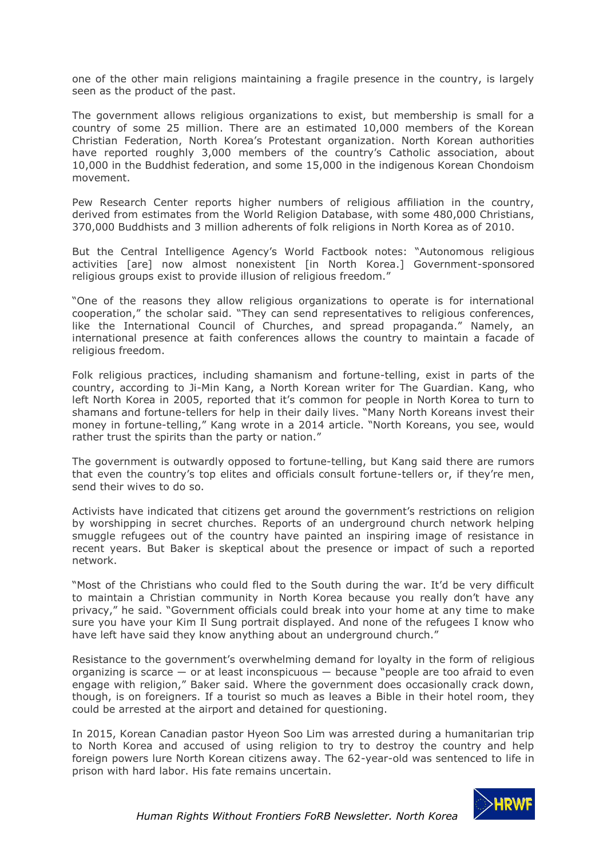one of the other main religions maintaining a fragile presence in the country, is largely seen as the product of the past.

The government allows religious organizations to exist, but membership is small for a country of some 25 million. There are an estimated 10,000 members of the Korean Christian Federation, North Korea's Protestant organization. North Korean authorities have reported roughly 3,000 members of the country's Catholic association, about 10,000 in the Buddhist federation, and some 15,000 in the indigenous Korean Chondoism movement.

Pew Research Center reports higher numbers of religious affiliation in the country, derived from estimates from the World Religion Database, with some 480,000 Christians, 370,000 Buddhists and 3 million adherents of folk religions in North Korea as of 2010.

But the Central Intelligence Agency's World Factbook notes: "Autonomous religious activities [are] now almost nonexistent [in North Korea.] Government-sponsored religious groups exist to provide illusion of religious freedom."

"One of the reasons they allow religious organizations to operate is for international cooperation," the scholar said. "They can send representatives to religious conferences, like the International Council of Churches, and spread propaganda." Namely, an international presence at faith conferences allows the country to maintain a facade of religious freedom.

Folk religious practices, including shamanism and fortune-telling, exist in parts of the country, according to Ji-Min Kang, a North Korean writer for The Guardian. Kang, who left North Korea in 2005, reported that it's common for people in North Korea to turn to shamans and fortune-tellers for help in their daily lives. "Many North Koreans invest their money in fortune-telling," Kang wrote in a 2014 article. "North Koreans, you see, would rather trust the spirits than the party or nation."

The government is outwardly opposed to fortune-telling, but Kang said there are rumors that even the country's top elites and officials consult fortune-tellers or, if they're men, send their wives to do so.

Activists have indicated that citizens get around the government's restrictions on religion by worshipping in secret churches. Reports of an underground church network helping smuggle refugees out of the country have painted an inspiring image of resistance in recent years. But Baker is skeptical about the presence or impact of such a reported network.

"Most of the Christians who could fled to the South during the war. It'd be very difficult to maintain a Christian community in North Korea because you really don't have any privacy," he said. "Government officials could break into your home at any time to make sure you have your Kim Il Sung portrait displayed. And none of the refugees I know who have left have said they know anything about an underground church."

Resistance to the government's overwhelming demand for loyalty in the form of religious organizing is scarce  $-$  or at least inconspicuous  $-$  because "people are too afraid to even engage with religion," Baker said. Where the government does occasionally crack down, though, is on foreigners. If a tourist so much as leaves a Bible in their hotel room, they could be arrested at the airport and detained for questioning.

In 2015, Korean Canadian pastor Hyeon Soo Lim was arrested during a humanitarian trip to North Korea and accused of using religion to try to destroy the country and help foreign powers lure North Korean citizens away. The 62-year-old was sentenced to life in prison with hard labor. His fate remains uncertain.

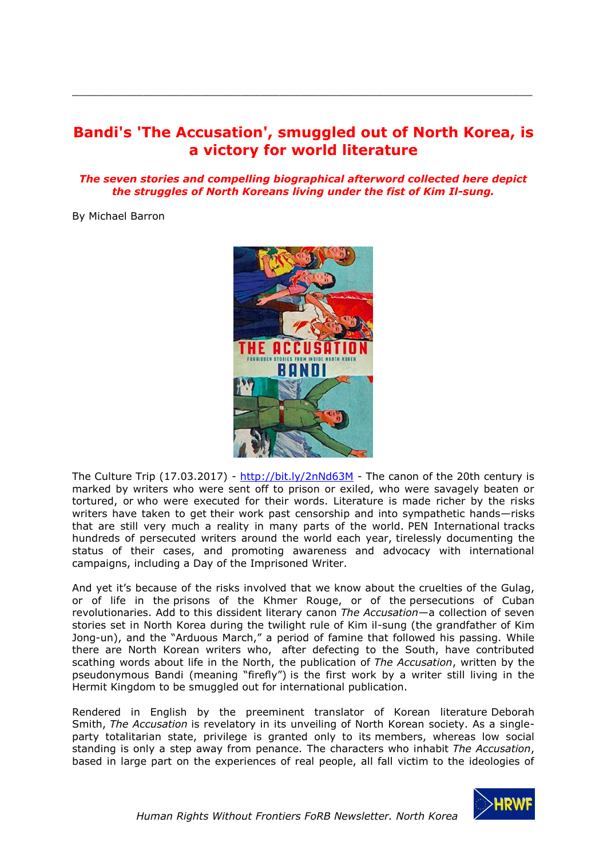## <span id="page-7-0"></span>**Bandi's 'The Accusation', smuggled out of North Korea, is a victory for world literature**

 $\_$  , and the set of the set of the set of the set of the set of the set of the set of the set of the set of the set of the set of the set of the set of the set of the set of the set of the set of the set of the set of th

### *The seven stories and compelling biographical afterword collected here depict the struggles of North Koreans living under the fist of Kim Il-sung.*

By Michael Barron



The Culture Trip (17.03.2017) -  $\frac{http://bit.ly/2nNd63M}{http://bit.ly/2nNd63M}$  $\frac{http://bit.ly/2nNd63M}{http://bit.ly/2nNd63M}$  $\frac{http://bit.ly/2nNd63M}{http://bit.ly/2nNd63M}$  - The canon of the 20th century is marked by writers who were sent off to prison or exiled, who were savagely beaten or tortured, or who were executed for their words. Literature is made richer by the risks writers have taken to get their work past censorship and into sympathetic hands—risks that are still very much a reality in many parts of the world. PEN International tracks hundreds of persecuted writers around the world each year, tirelessly documenting the status of their cases, and promoting awareness and advocacy with international campaigns, including a Day of the Imprisoned Writer.

And yet it's because of the risks involved that we know about the cruelties of the Gulag, or of life in the prisons of the Khmer Rouge, or of the persecutions of Cuban revolutionaries. Add to this dissident literary canon *The Accusation*—a collection of seven stories set in North Korea during the twilight rule of Kim il-sung (the grandfather of Kim Jong-un), and the "Arduous March," a period of famine that followed his passing. While there are North Korean writers who, after defecting to the South, have contributed scathing words about life in the North, the publication of *The Accusation*, written by the pseudonymous Bandi (meaning "firefly") is the first work by a writer still living in the Hermit Kingdom to be smuggled out for international publication.

Rendered in English by the preeminent translator of Korean literature Deborah Smith, *The Accusation* is revelatory in its unveiling of North Korean society. As a singleparty totalitarian state, privilege is granted only to its members, whereas low social standing is only a step away from penance. The characters who inhabit *The Accusation*, based in large part on the experiences of real people, all fall victim to the ideologies of

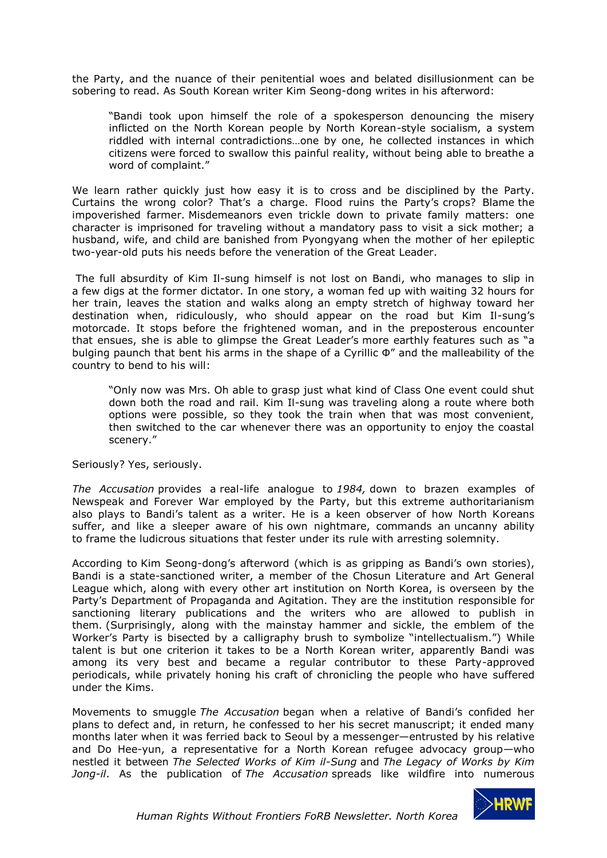the Party, and the nuance of their penitential woes and belated disillusionment can be sobering to read. As South Korean writer Kim Seong-dong writes in his afterword:

"Bandi took upon himself the role of a spokesperson denouncing the misery inflicted on the North Korean people by North Korean-style socialism, a system riddled with internal contradictions…one by one, he collected instances in which citizens were forced to swallow this painful reality, without being able to breathe a word of complaint."

We learn rather quickly just how easy it is to cross and be disciplined by the Party. Curtains the wrong color? That's a charge. Flood ruins the Party's crops? Blame the impoverished farmer. Misdemeanors even trickle down to private family matters: one character is imprisoned for traveling without a mandatory pass to visit a sick mother; a husband, wife, and child are banished from Pyongyang when the mother of her epileptic two-year-old puts his needs before the veneration of the Great Leader.

The full absurdity of Kim Il-sung himself is not lost on Bandi, who manages to slip in a few digs at the former dictator. In one story, a woman fed up with waiting 32 hours for her train, leaves the station and walks along an empty stretch of highway toward her destination when, ridiculously, who should appear on the road but Kim Il-sung's motorcade. It stops before the frightened woman, and in the preposterous encounter that ensues, she is able to glimpse the Great Leader's more earthly features such as "a bulging paunch that bent his arms in the shape of a Cyrillic Ф" and the malleability of the country to bend to his will:

"Only now was Mrs. Oh able to grasp just what kind of Class One event could shut down both the road and rail. Kim Il-sung was traveling along a route where both options were possible, so they took the train when that was most convenient, then switched to the car whenever there was an opportunity to enjoy the coastal scenery."

Seriously? Yes, seriously.

*The Accusation* provides a real-life analogue to *1984,* down to brazen examples of Newspeak and Forever War employed by the Party, but this extreme authoritarianism also plays to Bandi's talent as a writer. He is a keen observer of how North Koreans suffer, and like a sleeper aware of his own nightmare, commands an uncanny ability to frame the ludicrous situations that fester under its rule with arresting solemnity.

According to Kim Seong-dong's afterword (which is as gripping as Bandi's own stories), Bandi is a state-sanctioned writer, a member of the Chosun Literature and Art General League which, along with every other art institution on North Korea, is overseen by the Party's Department of Propaganda and Agitation. They are the institution responsible for sanctioning literary publications and the writers who are allowed to publish in them. (Surprisingly, along with the mainstay hammer and sickle, the emblem of the Worker's Party is bisected by a calligraphy brush to symbolize "intellectualism.") While talent is but one criterion it takes to be a North Korean writer, apparently Bandi was among its very best and became a regular contributor to these Party-approved periodicals, while privately honing his craft of chronicling the people who have suffered under the Kims.

Movements to smuggle *The Accusation* began when a relative of Bandi's confided her plans to defect and, in return, he confessed to her his secret manuscript; it ended many months later when it was ferried back to Seoul by a messenger—entrusted by his relative and Do Hee-yun, a representative for a North Korean refugee advocacy group—who nestled it between *The Selected Works of Kim il-Sung* and *The Legacy of Works by Kim Jong-il*. As the publication of *The Accusation* spreads like wildfire into numerous

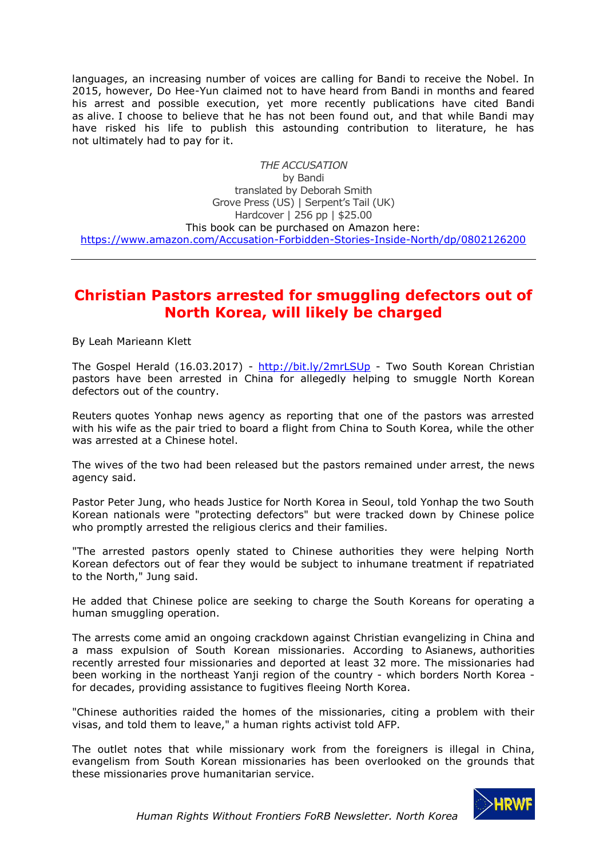languages, an increasing number of voices are calling for Bandi to receive the Nobel. In 2015, however, Do Hee-Yun claimed not to have heard from Bandi in months and feared his arrest and possible execution, yet more recently publications have cited Bandi as alive. I choose to believe that he has not been found out, and that while Bandi may have risked his life to publish this astounding contribution to literature, he has not ultimately had to pay for it.

*[THE ACCUSATION](https://www.amazon.com/gp/product/0802126200/?tag=thecultri-20)* by Bandi translated by Deborah Smith Grove Press (US) | Serpent's Tail (UK) Hardcover | 256 pp | \$25.00 This book can be purchased on Amazon here: <https://www.amazon.com/Accusation-Forbidden-Stories-Inside-North/dp/0802126200>

## <span id="page-9-0"></span>**Christian Pastors arrested for smuggling defectors out of North Korea, will likely be charged**

By Leah Marieann Klett

The Gospel Herald (16.03.2017) - <http://bit.ly/2mrLSUp> - Two South Korean Christian pastors have been arrested in China for allegedly helping to smuggle North Korean defectors out of the country.

Reuters quotes Yonhap news agency as reporting that one of the pastors was arrested with his wife as the pair tried to board a flight from China to South Korea, while the other was arrested at a Chinese hotel.

The wives of the two had been released but the pastors remained under arrest, the news agency said.

Pastor Peter Jung, who heads Justice for North Korea in Seoul, told Yonhap the two South Korean nationals were "protecting defectors" but were tracked down by Chinese police who promptly arrested the religious clerics and their families.

"The arrested pastors openly stated to Chinese authorities they were helping North Korean defectors out of fear they would be subject to inhumane treatment if repatriated to the North," Jung said.

He added that Chinese police are seeking to charge the South Koreans for operating a human smuggling operation.

The arrests come amid an ongoing crackdown against Christian evangelizing in China and a mass expulsion of South Korean missionaries. According to Asianews, authorities recently arrested four missionaries and deported at least 32 more. The missionaries had been working in the northeast Yanji region of the country - which borders North Korea for decades, providing assistance to fugitives fleeing North Korea.

"Chinese authorities raided the homes of the missionaries, citing a problem with their visas, and told them to leave," a human rights activist told AFP.

The outlet notes that while missionary work from the foreigners is illegal in China, evangelism from South Korean missionaries has been overlooked on the grounds that these missionaries prove humanitarian service.

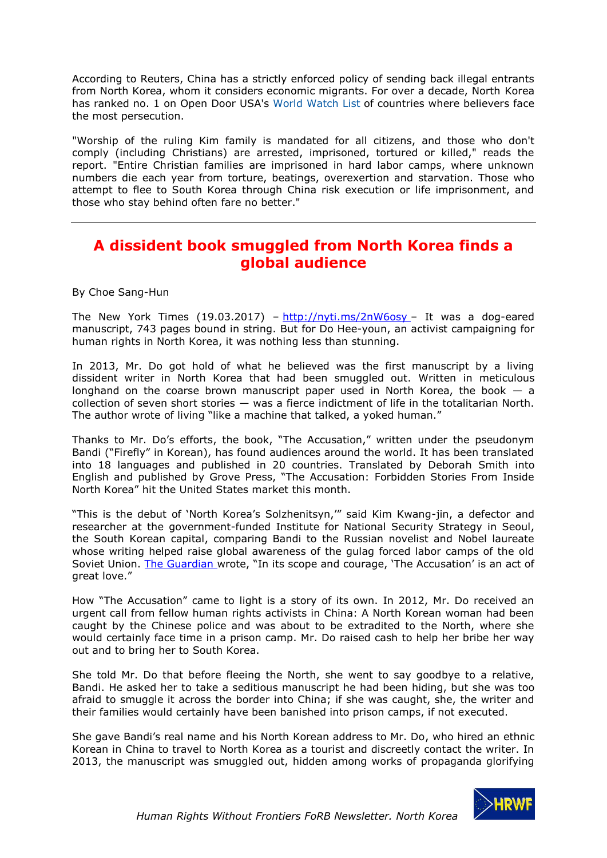According to Reuters, China has a strictly enforced policy of sending back illegal entrants from North Korea, whom it considers economic migrants. For over a decade, North Korea has ranked no. 1 on Open Door USA's World [Watch](https://www.opendoorsusa.org/christian-persecution/world-watch-list/) List of countries where believers face the most persecution.

"Worship of the ruling Kim family is mandated for all citizens, and those who don't comply (including Christians) are arrested, imprisoned, tortured or killed," reads the report. "Entire Christian families are imprisoned in hard labor camps, where unknown numbers die each year from torture, beatings, overexertion and starvation. Those who attempt to flee to South Korea through China risk execution or life imprisonment, and those who stay behind often fare no better."

## <span id="page-10-0"></span>**[A dissident book smuggled from North Korea finds a](http://hrwf.eu/north-korea-a-dissident-book-smuggled-from-north-korea-finds-a-global-audience/)  [global audience](http://hrwf.eu/north-korea-a-dissident-book-smuggled-from-north-korea-finds-a-global-audience/)**

By Choe Sang-Hun

The New York Times (19.03.2017) – <http://nyti.ms/2nW6osy> – It was a dog-eared manuscript, 743 pages bound in string. But for Do Hee-youn, an activist campaigning for human rights in North Korea, it was nothing less than stunning.

In 2013, Mr. Do got hold of what he believed was the first manuscript by a living dissident writer in North Korea that had been smuggled out. Written in meticulous longhand on the coarse brown manuscript paper used in North Korea, the book  $-$  a collection of seven short stories — was a fierce indictment of life in the totalitarian North. The author wrote of living "like a machine that talked, a yoked human."

Thanks to Mr. Do's efforts, the book, "The Accusation," written under the pseudonym Bandi ("Firefly" in Korean), has found audiences around the world. It has been translated into 18 languages and published in 20 countries. Translated by Deborah Smith into English and published by Grove Press, "The Accusation: Forbidden Stories From Inside North Korea" hit the United States market this month.

"This is the debut of 'North Korea's Solzhenitsyn,'" said Kim Kwang-jin, a defector and researcher at the government-funded Institute for National Security Strategy in Seoul, the South Korean capital, comparing Bandi to the Russian novelist and Nobel laureate whose writing helped raise global awareness of the gulag forced labor camps of the old Soviet Union. The [Guardian](https://www.theguardian.com/books/2017/mar/11/the-accusation-forbidden-stories-from-inside-north-korea-by-bandi-review) wrote, "In its scope and courage, 'The Accusation' is an act of great love."

How "The Accusation" came to light is a story of its own. In 2012, Mr. Do received an urgent call from fellow human rights activists in China: A North Korean woman had been caught by the Chinese police and was about to be extradited to the North, where she would certainly face time in a prison camp. Mr. Do raised cash to help her bribe her way out and to bring her to South Korea.

She told Mr. Do that before fleeing the North, she went to say goodbye to a relative, Bandi. He asked her to take a seditious manuscript he had been hiding, but she was too afraid to smuggle it across the border into China; if she was caught, she, the writer and their families would certainly have been banished into prison camps, if not executed.

She gave Bandi's real name and his North Korean address to Mr. Do, who hired an ethnic Korean in China to travel to North Korea as a tourist and discreetly contact the writer. In 2013, the manuscript was smuggled out, hidden among works of propaganda glorifying

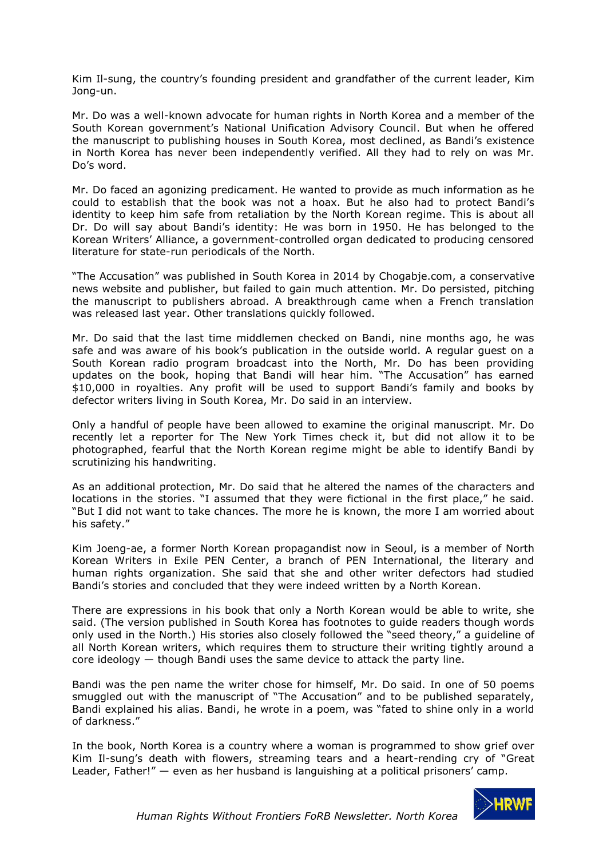Kim Il-sung, the country's founding president and grandfather of the current leader, Kim Jong-un.

Mr. Do was a well-known advocate for human rights in North Korea and a member of the South Korean government's National Unification Advisory Council. But when he offered the manuscript to publishing houses in South Korea, most declined, as Bandi's existence in North Korea has never been independently verified. All they had to rely on was Mr. Do's word.

Mr. Do faced an agonizing predicament. He wanted to provide as much information as he could to establish that the book was not a hoax. But he also had to protect Bandi's identity to keep him safe from retaliation by the North Korean regime. This is about all Dr. Do will say about Bandi's identity: He was born in 1950. He has belonged to the Korean Writers' Alliance, a government-controlled organ dedicated to producing censored literature for state-run periodicals of the North.

"The Accusation" was published in South Korea in 2014 by Chogabje.com, a conservative news website and publisher, but failed to gain much attention. Mr. Do persisted, pitching the manuscript to publishers abroad. A breakthrough came when a French translation was released last year. Other translations quickly followed.

Mr. Do said that the last time middlemen checked on Bandi, nine months ago, he was safe and was aware of his book's publication in the outside world. A regular guest on a South Korean radio program broadcast into the North, Mr. Do has been providing updates on the book, hoping that Bandi will hear him. "The Accusation" has earned \$10,000 in royalties. Any profit will be used to support Bandi's family and books by defector writers living in South Korea, Mr. Do said in an interview.

Only a handful of people have been allowed to examine the original manuscript. Mr. Do recently let a reporter for The New York Times check it, but did not allow it to be photographed, fearful that the North Korean regime might be able to identify Bandi by scrutinizing his handwriting.

As an additional protection, Mr. Do said that he altered the names of the characters and locations in the stories. "I assumed that they were fictional in the first place," he said. "But I did not want to take chances. The more he is known, the more I am worried about his safety."

Kim Joeng-ae, a former North Korean propagandist now in Seoul, is a member of North Korean Writers in Exile PEN Center, a branch of PEN International, the literary and human rights organization. She said that she and other writer defectors had studied Bandi's stories and concluded that they were indeed written by a North Korean.

There are expressions in his book that only a North Korean would be able to write, she said. (The version published in South Korea has footnotes to guide readers though words only used in the North.) His stories also closely followed the "seed theory," a guideline of all North Korean writers, which requires them to structure their writing tightly around a core ideology — though Bandi uses the same device to attack the party line.

Bandi was the pen name the writer chose for himself, Mr. Do said. In one of 50 poems smuggled out with the manuscript of "The Accusation" and to be published separately, Bandi explained his alias. Bandi, he wrote in a poem, was "fated to shine only in a world of darkness."

In the book, North Korea is a country where a woman is programmed to show grief over Kim Il-sung's death with flowers, streaming tears and a heart-rending cry of "Great Leader, Father!" — even as her husband is languishing at a political prisoners' camp.

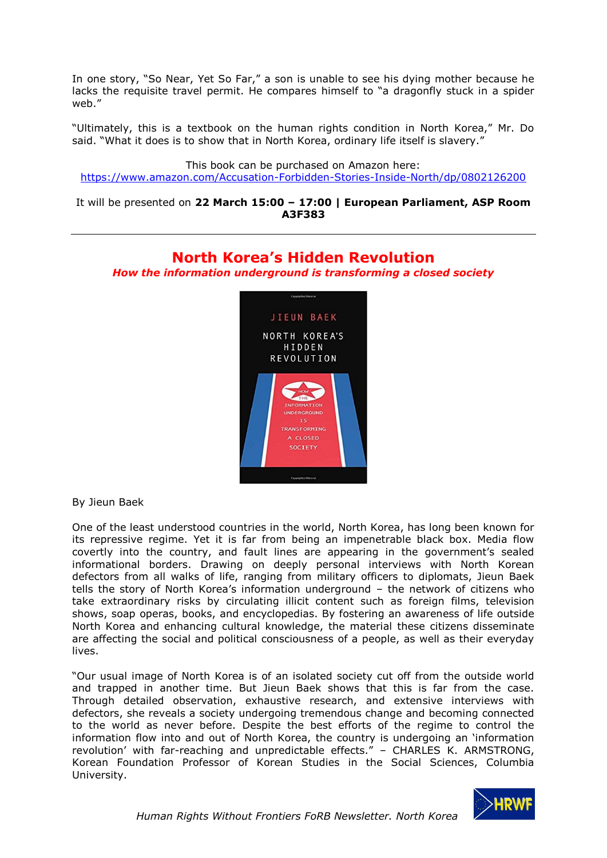In one story, "So Near, Yet So Far," a son is unable to see his dying mother because he lacks the requisite travel permit. He compares himself to "a dragonfly stuck in a spider web."

"Ultimately, this is a textbook on the human rights condition in North Korea," Mr. Do said. "What it does is to show that in North Korea, ordinary life itself is slavery."

This book can be purchased on Amazon here: <https://www.amazon.com/Accusation-Forbidden-Stories-Inside-North/dp/0802126200>

It will be presented on **22 March 15:00 – 17:00 | European Parliament, ASP Room A3F383**

### **North Korea's Hidden Revolution**

<span id="page-12-0"></span>*How the information underground is transforming a closed society*



By Jieun Baek

One of the least understood countries in the world, North Korea, has long been known for its repressive regime. Yet it is far from being an impenetrable black box. Media flow covertly into the country, and fault lines are appearing in the government's sealed informational borders. Drawing on deeply personal interviews with North Korean defectors from all walks of life, ranging from military officers to diplomats, Jieun Baek tells the story of North Korea's information underground – the network of citizens who take extraordinary risks by circulating illicit content such as foreign films, television shows, soap operas, books, and encyclopedias. By fostering an awareness of life outside North Korea and enhancing cultural knowledge, the material these citizens disseminate are affecting the social and political consciousness of a people, as well as their everyday lives.

"Our usual image of North Korea is of an isolated society cut off from the outside world and trapped in another time. But Jieun Baek shows that this is far from the case. Through detailed observation, exhaustive research, and extensive interviews with defectors, she reveals a society undergoing tremendous change and becoming connected to the world as never before. Despite the best efforts of the regime to control the information flow into and out of North Korea, the country is undergoing an 'information revolution' with far-reaching and unpredictable effects." – CHARLES K. ARMSTRONG, Korean Foundation Professor of Korean Studies in the Social Sciences, Columbia University.

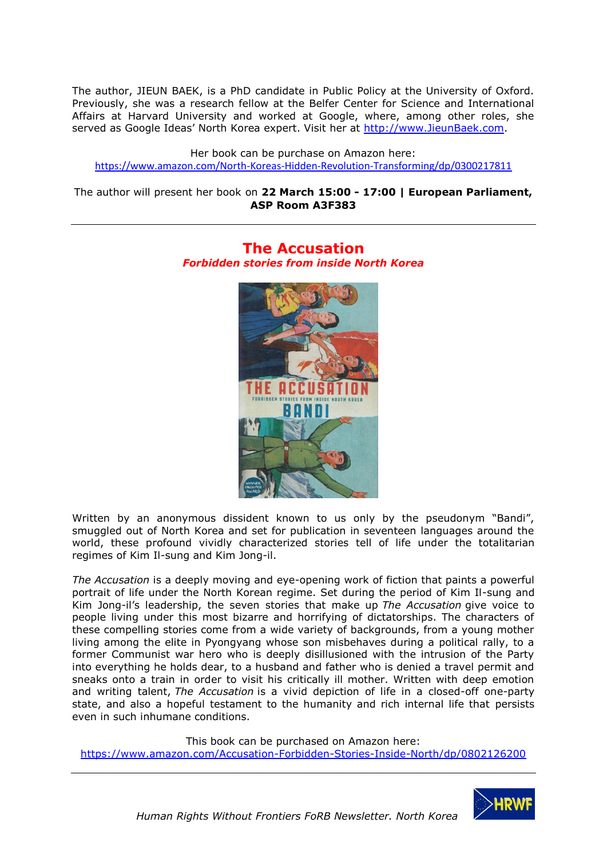The author, JIEUN BAEK, is a PhD candidate in Public Policy at the University of Oxford. Previously, she was a research fellow at the Belfer Center for Science and International Affairs at Harvard University and worked at Google, where, among other roles, she served as Google Ideas' North Korea expert. Visit her at [http://www.JieunBaek.com.](http://www.jieunbaek.com/)

Her book can be purchase on Amazon here: <https://www.amazon.com/North-Koreas-Hidden-Revolution-Transforming/dp/0300217811>

<span id="page-13-0"></span>The author will present her book on **22 March 15:00 - 17:00 | European Parliament, ASP Room A3F383**



**The Accusation** *Forbidden stories from inside North Korea*

Written by an anonymous dissident known to us only by the pseudonym "Bandi", smuggled out of North Korea and set for publication in seventeen languages around the world, these profound vividly characterized stories tell of life under the totalitarian regimes of Kim Il-sung and Kim Jong-il.

*The Accusation* is a deeply moving and eye-opening work of fiction that paints a powerful portrait of life under the North Korean regime. Set during the period of Kim Il-sung and Kim Jong-il's leadership, the seven stories that make up *The Accusation* give voice to people living under this most bizarre and horrifying of dictatorships. The characters of these compelling stories come from a wide variety of backgrounds, from a young mother living among the elite in Pyongyang whose son misbehaves during a political rally, to a former Communist war hero who is deeply disillusioned with the intrusion of the Party into everything he holds dear, to a husband and father who is denied a travel permit and sneaks onto a train in order to visit his critically ill mother. Written with deep emotion and writing talent, *The Accusation* is a vivid depiction of life in a closed-off one-party state, and also a hopeful testament to the humanity and rich internal life that persists even in such inhumane conditions.

This book can be purchased on Amazon here: <https://www.amazon.com/Accusation-Forbidden-Stories-Inside-North/dp/0802126200>



*Human Rights Without Frontiers FoRB Newsletter. North Korea*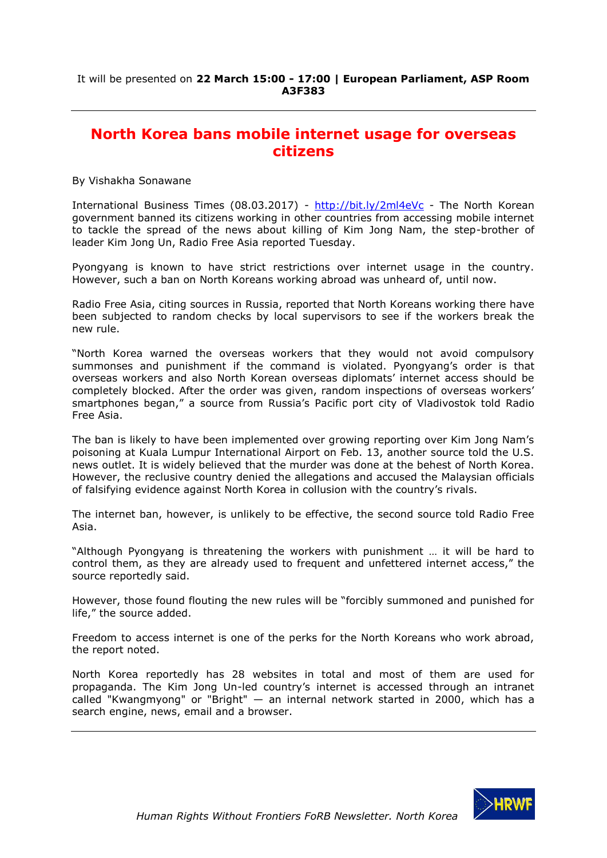# <span id="page-14-0"></span>**North Korea bans mobile internet usage for overseas citizens**

### By Vishakha Sonawane

International Business Times (08.03.2017) - <http://bit.ly/2ml4eVc> - The North Korean government banned its citizens working in other countries from accessing mobile internet to tackle the spread of the news about killing of Kim Jong Nam, the step-brother of leader Kim Jong Un, Radio Free Asia reported Tuesday.

Pyongyang is known to have strict restrictions over internet usage in the country. However, such a ban on North Koreans working abroad was unheard of, until now.

Radio Free Asia, citing sources in Russia, reported that North Koreans working there have been subjected to random checks by local supervisors to see if the workers break the new rule.

"North Korea warned the overseas workers that they would not avoid compulsory summonses and punishment if the command is violated. Pyongyang's order is that overseas workers and also North Korean overseas diplomats' internet access should be completely blocked. After the order was given, random inspections of overseas workers' smartphones began," a source from Russia's Pacific port city of Vladivostok told Radio Free Asia.

The ban is likely to have been implemented over growing reporting over Kim Jong Nam's poisoning at Kuala Lumpur International Airport on Feb. 13, another source told the U.S. news outlet. It is widely believed that the murder was done at the behest of North Korea. However, the reclusive country denied the allegations and accused the Malaysian officials of falsifying evidence against North Korea in collusion with the country's rivals.

The internet ban, however, is unlikely to be effective, the second source told Radio Free Asia.

"Although Pyongyang is threatening the workers with punishment … it will be hard to control them, as they are already used to frequent and unfettered internet access," the source reportedly said.

However, those found flouting the new rules will be "forcibly summoned and punished for life," the source added.

Freedom to access internet is one of the perks for the North Koreans who work abroad, the report noted.

North Korea reportedly has 28 websites in total and most of them are used for propaganda. The Kim Jong Un-led country's internet is accessed through an intranet called "Kwangmyong" or "Bright" — an internal network started in 2000, which has a search engine, news, email and a browser.

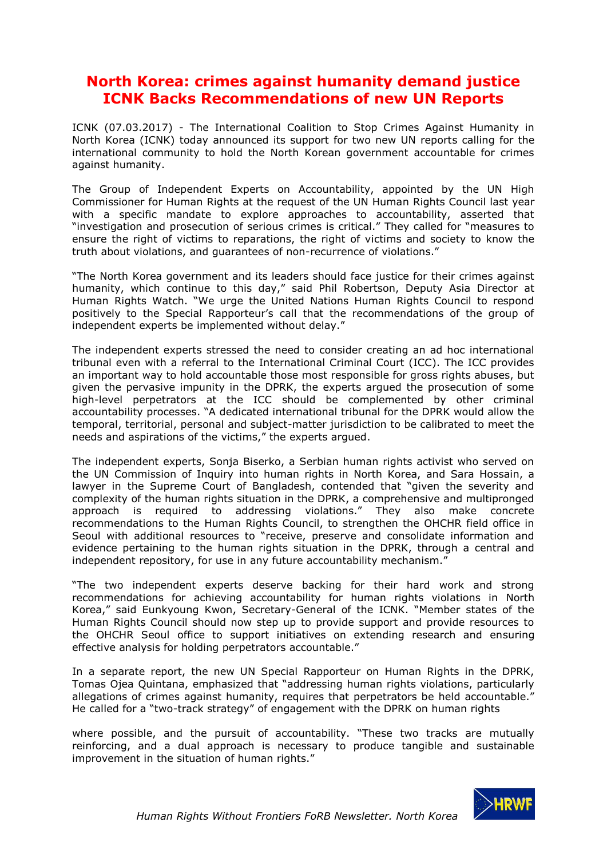# <span id="page-15-0"></span>**North Korea: crimes against humanity demand justice ICNK Backs Recommendations of new UN Reports**

ICNK (07.03.2017) - The International Coalition to Stop Crimes Against Humanity in North Korea (ICNK) today announced its support for two new UN reports calling for the international community to hold the North Korean government accountable for crimes against humanity.

The Group of Independent Experts on Accountability, appointed by the UN High Commissioner for Human Rights at the request of the UN Human Rights Council last year with a specific mandate to explore approaches to accountability, asserted that "investigation and prosecution of serious crimes is critical." They called for "measures to ensure the right of victims to reparations, the right of victims and society to know the truth about violations, and guarantees of non-recurrence of violations."

"The North Korea government and its leaders should face justice for their crimes against humanity, which continue to this day," said Phil Robertson, Deputy Asia Director at Human Rights Watch. "We urge the United Nations Human Rights Council to respond positively to the Special Rapporteur's call that the recommendations of the group of independent experts be implemented without delay."

The independent experts stressed the need to consider creating an ad hoc international tribunal even with a referral to the International Criminal Court (ICC). The ICC provides an important way to hold accountable those most responsible for gross rights abuses, but given the pervasive impunity in the DPRK, the experts argued the prosecution of some high-level perpetrators at the ICC should be complemented by other criminal accountability processes. "A dedicated international tribunal for the DPRK would allow the temporal, territorial, personal and subject-matter jurisdiction to be calibrated to meet the needs and aspirations of the victims," the experts argued.

The independent experts, Sonja Biserko, a Serbian human rights activist who served on the UN Commission of Inquiry into human rights in North Korea, and Sara Hossain, a lawyer in the Supreme Court of Bangladesh, contended that "given the severity and complexity of the human rights situation in the DPRK, a comprehensive and multipronged approach is required to addressing violations." They also make concrete recommendations to the Human Rights Council, to strengthen the OHCHR field office in Seoul with additional resources to "receive, preserve and consolidate information and evidence pertaining to the human rights situation in the DPRK, through a central and independent repository, for use in any future accountability mechanism."

"The two independent experts deserve backing for their hard work and strong recommendations for achieving accountability for human rights violations in North Korea," said Eunkyoung Kwon, Secretary-General of the ICNK. "Member states of the Human Rights Council should now step up to provide support and provide resources to the OHCHR Seoul office to support initiatives on extending research and ensuring effective analysis for holding perpetrators accountable."

In a separate report, the new UN Special Rapporteur on Human Rights in the DPRK, Tomas Ojea Quintana, emphasized that "addressing human rights violations, particularly allegations of crimes against humanity, requires that perpetrators be held accountable." He called for a "two-track strategy" of engagement with the DPRK on human rights

where possible, and the pursuit of accountability. "These two tracks are mutually reinforcing, and a dual approach is necessary to produce tangible and sustainable improvement in the situation of human rights."

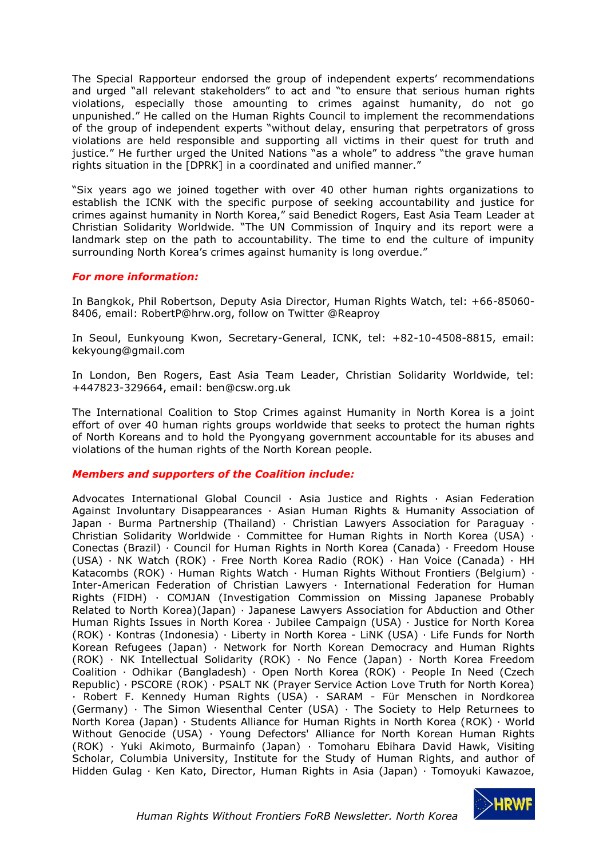The Special Rapporteur endorsed the group of independent experts' recommendations and urged "all relevant stakeholders" to act and "to ensure that serious human rights violations, especially those amounting to crimes against humanity, do not go unpunished." He called on the Human Rights Council to implement the recommendations of the group of independent experts "without delay, ensuring that perpetrators of gross violations are held responsible and supporting all victims in their quest for truth and justice." He further urged the United Nations "as a whole" to address "the grave human rights situation in the [DPRK] in a coordinated and unified manner."

"Six years ago we joined together with over 40 other human rights organizations to establish the ICNK with the specific purpose of seeking accountability and justice for crimes against humanity in North Korea," said Benedict Rogers, East Asia Team Leader at Christian Solidarity Worldwide. "The UN Commission of Inquiry and its report were a landmark step on the path to accountability. The time to end the culture of impunity surrounding North Korea's crimes against humanity is long overdue."

#### *For more information:*

In Bangkok, Phil Robertson, Deputy Asia Director, Human Rights Watch, tel: +66-85060- 8406, email: RobertP@hrw.org, follow on Twitter @Reaproy

In Seoul, Eunkyoung Kwon, Secretary-General, ICNK, tel: +82-10-4508-8815, email: kekyoung@gmail.com

In London, Ben Rogers, East Asia Team Leader, Christian Solidarity Worldwide, tel: +447823-329664, email: ben@csw.org.uk

The International Coalition to Stop Crimes against Humanity in North Korea is a joint effort of over 40 human rights groups worldwide that seeks to protect the human rights of North Koreans and to hold the Pyongyang government accountable for its abuses and violations of the human rights of the North Korean people.

#### *Members and supporters of the Coalition include:*

Advocates International Global Council  $\cdot$  Asia Justice and Rights  $\cdot$  Asian Federation Against Involuntary Disappearances · Asian Human Rights & Humanity Association of Japan · Burma Partnership (Thailand) · Christian Lawyers Association for Paraguay · Christian Solidarity Worldwide · Committee for Human Rights in North Korea (USA) · Conectas (Brazil) · Council for Human Rights in North Korea (Canada) · Freedom House (USA) · NK Watch (ROK) · Free North Korea Radio (ROK) · Han Voice (Canada) · HH Katacombs (ROK) · Human Rights Watch · Human Rights Without Frontiers (Belgium) · Inter-American Federation of Christian Lawyers · International Federation for Human Rights (FIDH) · COMJAN (Investigation Commission on Missing Japanese Probably Related to North Korea)(Japan) · Japanese Lawyers Association for Abduction and Other Human Rights Issues in North Korea · Jubilee Campaign (USA) · Justice for North Korea (ROK) · Kontras (Indonesia) · Liberty in North Korea - LiNK (USA) · Life Funds for North Korean Refugees (Japan) · Network for North Korean Democracy and Human Rights (ROK) · NK Intellectual Solidarity (ROK) · No Fence (Japan) · North Korea Freedom Coalition · Odhikar (Bangladesh) · Open North Korea (ROK) · People In Need (Czech Republic) · PSCORE (ROK) · PSALT NK (Prayer Service Action Love Truth for North Korea) · Robert F. Kennedy Human Rights (USA) · SARAM - Für Menschen in Nordkorea (Germany) · The Simon Wiesenthal Center (USA) · The Society to Help Returnees to North Korea (Japan) · Students Alliance for Human Rights in North Korea (ROK) · World Without Genocide (USA) · Young Defectors' Alliance for North Korean Human Rights (ROK) · Yuki Akimoto, Burmainfo (Japan) · Tomoharu Ebihara David Hawk, Visiting Scholar, Columbia University, Institute for the Study of Human Rights, and author of Hidden Gulag · Ken Kato, Director, Human Rights in Asia (Japan) · Tomoyuki Kawazoe,

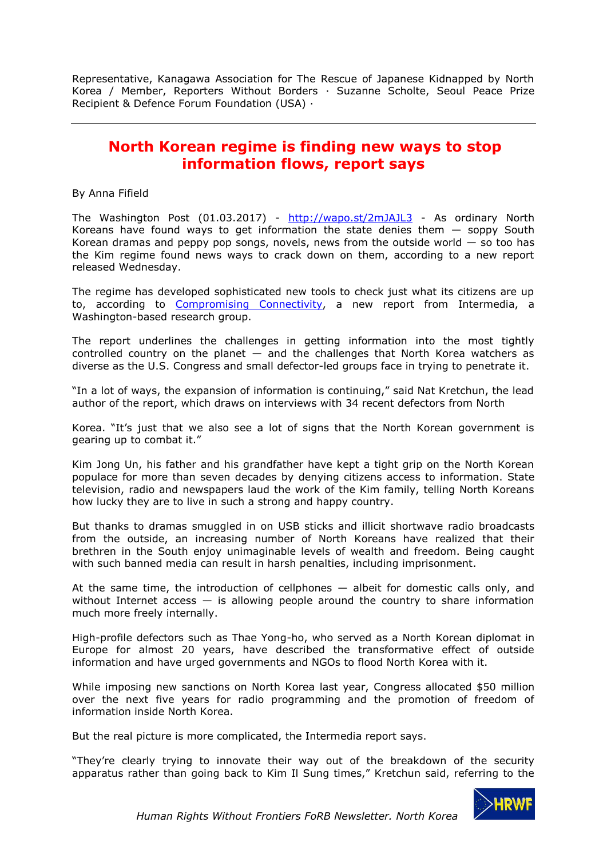Representative, Kanagawa Association for The Rescue of Japanese Kidnapped by North Korea / Member, Reporters Without Borders · Suzanne Scholte, Seoul Peace Prize Recipient & Defence Forum Foundation (USA) ·

### <span id="page-17-0"></span>**North Korean regime is finding new ways to stop information flows, report says**

By Anna Fifield

The Washington Post (01.03.2017) - <http://wapo.st/2mJAJL3> - As ordinary North Koreans have found ways to get information the state denies them — soppy South Korean dramas and peppy pop songs, novels, news from the outside world  $-$  so too has the Kim regime found news ways to crack down on them, according to a new report released Wednesday.

The regime has developed sophisticated new tools to check just what its citizens are up to, according to [Compromising Connectivity,](http://www.intermedia.org/wp-content/uploads/2017/02/Compromising-Connectivity-Final-Report_Soft-Copy.pdf) a new report from Intermedia, a Washington-based research group.

The report underlines the challenges in getting information into the most tightly controlled country on the planet — and the challenges that North Korea watchers as diverse as the U.S. Congress and small defector-led groups face in trying to penetrate it.

"In a lot of ways, the expansion of information is continuing," said Nat Kretchun, the lead author of the report, which draws on interviews with 34 recent defectors from North

Korea. "It's just that we also see a lot of signs that the North Korean government is gearing up to combat it."

Kim Jong Un, his father and his grandfather have kept a tight grip on the North Korean populace for more than seven decades by denying citizens access to information. State television, radio and newspapers laud the work of the Kim family, telling North Koreans how lucky they are to live in such a strong and happy country.

But thanks to dramas smuggled in on USB sticks and illicit shortwave radio broadcasts from the outside, an increasing number of North Koreans have realized that their brethren in the South enjoy unimaginable levels of wealth and freedom. Being caught with such banned media can result in harsh penalties, including imprisonment.

At the same time, the introduction of cellphones — albeit for domestic calls only, and without Internet access  $-$  is allowing people around the country to share information much more freely internally.

High-profile defectors such as Thae Yong-ho, who served as a North Korean diplomat in Europe for almost 20 years, have described the transformative effect of outside information and have urged governments and NGOs to flood North Korea with it.

While imposing new sanctions on North Korea last year, Congress allocated \$50 million over the next five years for radio programming and the promotion of freedom of information inside North Korea.

But the real picture is more complicated, the Intermedia report says.

"They're clearly trying to innovate their way out of the breakdown of the security apparatus rather than going back to Kim Il Sung times," Kretchun said, referring to the

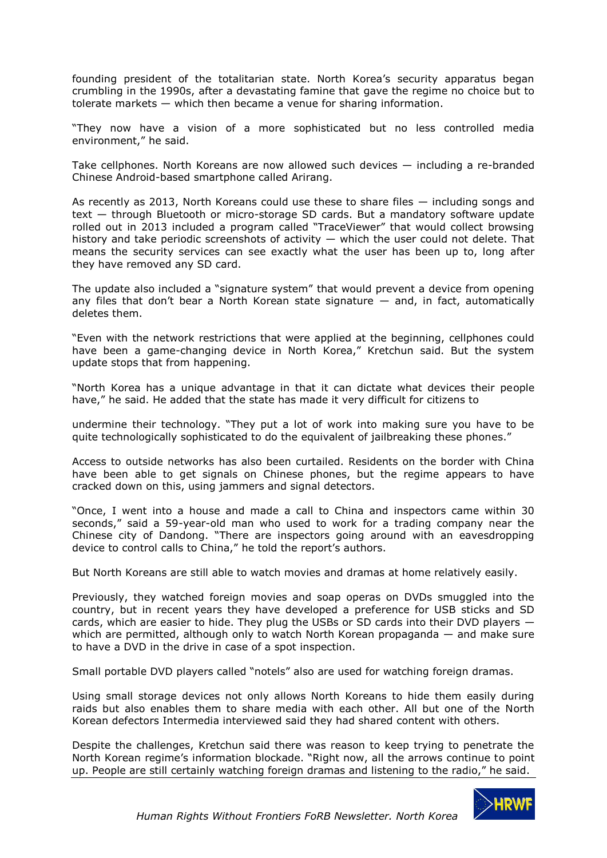founding president of the totalitarian state. North Korea's security apparatus began crumbling in the 1990s, after a devastating famine that gave the regime no choice but to tolerate markets — which then became a venue for sharing information.

"They now have a vision of a more sophisticated but no less controlled media environment," he said.

Take cellphones. North Koreans are now allowed such devices — including a re-branded Chinese Android-based smartphone called Arirang.

As recently as 2013, North Koreans could use these to share files — including songs and text — through Bluetooth or micro-storage SD cards. But a mandatory software update rolled out in 2013 included a program called "TraceViewer" that would collect browsing history and take periodic screenshots of activity — which the user could not delete. That means the security services can see exactly what the user has been up to, long after they have removed any SD card.

The update also included a "signature system" that would prevent a device from opening any files that don't bear a North Korean state signature  $-$  and, in fact, automatically deletes them.

"Even with the network restrictions that were applied at the beginning, cellphones could have been a game-changing device in North Korea," Kretchun said. But the system update stops that from happening.

"North Korea has a unique advantage in that it can dictate what devices their people have," he said. He added that the state has made it very difficult for citizens to

undermine their technology. "They put a lot of work into making sure you have to be quite technologically sophisticated to do the equivalent of jailbreaking these phones."

Access to outside networks has also been curtailed. Residents on the border with China have been able to get signals on Chinese phones, but the regime appears to have cracked down on this, using jammers and signal detectors.

"Once, I went into a house and made a call to China and inspectors came within 30 seconds," said a 59-year-old man who used to work for a trading company near the Chinese city of Dandong. "There are inspectors going around with an eavesdropping device to control calls to China," he told the report's authors.

But North Koreans are still able to watch movies and dramas at home relatively easily.

Previously, they watched foreign movies and soap operas on DVDs smuggled into the country, but in recent years they have developed a preference for USB sticks and SD cards, which are easier to hide. They plug the USBs or SD cards into their DVD players which are permitted, although only to watch North Korean propaganda — and make sure to have a DVD in the drive in case of a spot inspection.

Small portable DVD players called "notels" also are used for watching foreign dramas.

Using small storage devices not only allows North Koreans to hide them easily during raids but also enables them to share media with each other. All but one of the North Korean defectors Intermedia interviewed said they had shared content with others.

Despite the challenges, Kretchun said there was reason to keep trying to penetrate the North Korean regime's information blockade. "Right now, all the arrows continue to point up. People are still certainly watching foreign dramas and listening to the radio," he said.

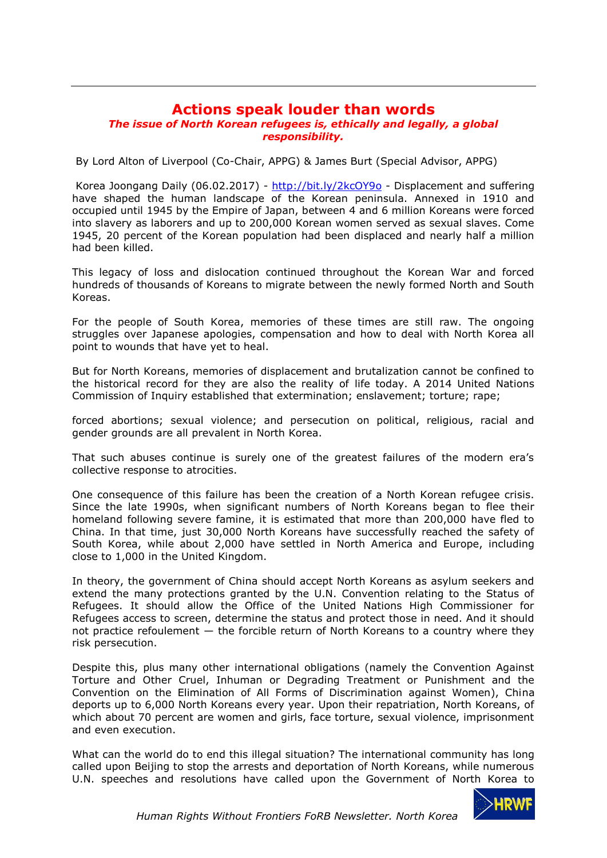## **Actions speak louder than words**

### <span id="page-19-0"></span>*The issue of North Korean refugees is, ethically and legally, a global responsibility.*

By Lord Alton of Liverpool (Co-Chair, APPG) & James Burt (Special Advisor, APPG)

Korea Joongang Daily (06.02.2017) - http://bit.ly/2kcOY9o - Displacement and suffering have shaped the human landscape of the Korean peninsula. Annexed in 1910 and occupied until 1945 by the Empire of Japan, between 4 and 6 million Koreans were forced into slavery as laborers and up to 200,000 Korean women served as sexual slaves. Come 1945, 20 percent of the Korean population had been displaced and nearly half a million had been killed.

This legacy of loss and dislocation continued throughout the Korean War and forced hundreds of thousands of Koreans to migrate between the newly formed North and South Koreas.

For the people of South Korea, memories of these times are still raw. The ongoing struggles over Japanese apologies, compensation and how to deal with North Korea all point to wounds that have yet to heal.

But for North Koreans, memories of displacement and brutalization cannot be confined to the historical record for they are also the reality of life today. A 2014 United Nations Commission of Inquiry established that extermination; enslavement; torture; rape;

forced abortions; sexual violence; and persecution on political, religious, racial and gender grounds are all prevalent in North Korea.

That such abuses continue is surely one of the greatest failures of the modern era's collective response to atrocities.

One consequence of this failure has been the creation of a North Korean refugee crisis. Since the late 1990s, when significant numbers of North Koreans began to flee their homeland following severe famine, it is estimated that more than 200,000 have fled to China. In that time, just 30,000 North Koreans have successfully reached the safety of South Korea, while about 2,000 have settled in North America and Europe, including close to 1,000 in the United Kingdom.

In theory, the government of China should accept North Koreans as asylum seekers and extend the many protections granted by the U.N. Convention relating to the Status of Refugees. It should allow the Office of the United Nations High Commissioner for Refugees access to screen, determine the status and protect those in need. And it should not practice refoulement — the forcible return of North Koreans to a country where they risk persecution.

Despite this, plus many other international obligations (namely the Convention Against Torture and Other Cruel, Inhuman or Degrading Treatment or Punishment and the Convention on the Elimination of All Forms of Discrimination against Women), China deports up to 6,000 North Koreans every year. Upon their repatriation, North Koreans, of which about 70 percent are women and girls, face torture, sexual violence, imprisonment and even execution.

What can the world do to end this illegal situation? The international community has long called upon Beijing to stop the arrests and deportation of North Koreans, while numerous U.N. speeches and resolutions have called upon the Government of North Korea to